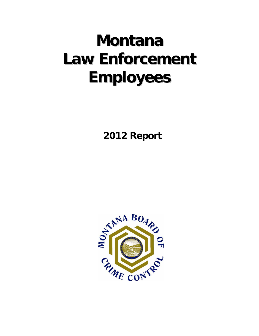# **Montana LawEnforcement Employees**

 **2012 Report**

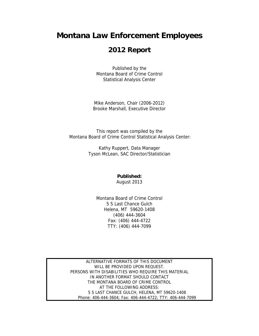# **Montana Law Enforcement Employees**

# **2012 Report**

Published by the Montana Board of Crime Control Statistical Analysis Center

Mike Anderson, Chair (2006-2012) Brooke Marshall, Executive Director

This report was compiled by the Montana Board of Crime Control Statistical Analysis Center:

> Kathy Ruppert, Data Manager Tyson McLean, SAC Director/Statistician

> > **Published:**  August 2013

Montana Board of Crime Control 5 S Last Chance Gulch Helena, MT 59620-1408 (406) 444-3604 Fax: (406) 444-4722 TTY: (406) 444-7099

ALTERNATIVE FORMATS OF THIS DOCUMENT WILL BE PROVIDED UPON REQUEST. PERSONS WITH DISABILITIES WHO REQUIRE THIS MATERIAL IN ANOTHER FORMAT SHOULD CONTACT THE MONTANA BOARD OF CRIME CONTROL AT THE FOLLOWING ADDRESS: 5 S LAST CHANCE GULCH, HELENA, MT 59620-1408 Phone: 406-444-3604; Fax: 406-444-4722; TTY: 406-444-7099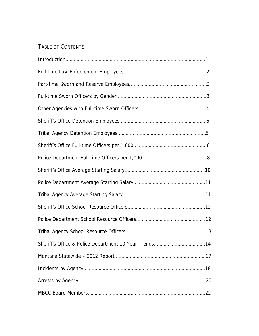# TABLE OF CONTENTS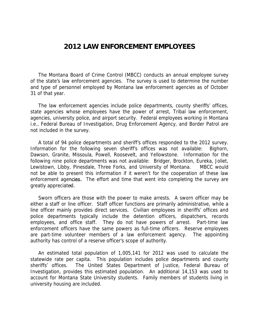# **2012 LAW ENFORCEMENT EMPLOYEES**

 The Montana Board of Crime Control (MBCC) conducts an annual employee survey of the state's law enforcement agencies. The survey is used to determine the number and type of personnel employed by Montana law enforcement agencies as of October 31 of that year.

 The law enforcement agencies include police departments, county sheriffs' offices, state agencies whose employees have the power of arrest, Tribal law enforcement, agencies, university police, and airport security. Federal employees working in Montana i.e., Federal Bureau of Investigation, Drug Enforcement Agency, and Border Patrol are not included in the survey.

 A total of 94 police departments and sheriff's offices responded to the 2012 survey. Information for the following seven sheriff's offices was not available: Bighorn, Dawson, Granite, Missoula, Powell, Roosevelt, and Yellowstone. Information for the following nine police departments was not available: Bridger, Brockton, Eureka, Joliet, Lewistown, Libby, Pinesdale, Three Forks, and University of Montana. MBCC would not be able to present this information if it weren't for the cooperation of these law enforcement agencies. The effort and time that went into completing the survey are greatly appreciated.

 Sworn officers are those with the power to make arrests. A sworn officer may be either a staff or line officer. Staff officer functions are primarily administrative, while a line officer mainly provides direct services. Civilian employees in sheriffs' offices and police departments typically include the detention officers, dispatchers, records employees, and office staff. They do not have powers of arrest. Part-time law enforcement officers have the same powers as full-time officers. Reserve employees are part-time volunteer members of a law enforcement agency. The appointing authority has control of a reserve officer's scope of authority.

 An estimated total population of 1,005,141 for 2012 was used to calculate the statewide rate per capita. This population includes police departments and county sheriffs' offices. The United States Department of Justice, Federal Bureau of Investigation, provides this estimated population. An additional 14,153 was used to account for Montana State University students. Family members of students living in university housing are included.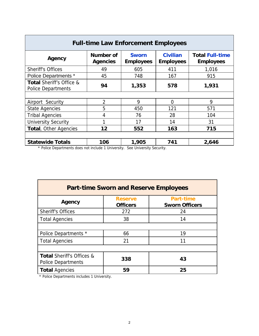| <b>Full-time Law Enforcement Employees</b>            |                                     |                                  |                                     |                                            |  |  |  |
|-------------------------------------------------------|-------------------------------------|----------------------------------|-------------------------------------|--------------------------------------------|--|--|--|
| Agency                                                | <b>Number of</b><br><b>Agencies</b> | <b>Sworn</b><br><b>Employees</b> | <b>Civilian</b><br><b>Employees</b> | <b>Total Full-time</b><br><b>Employees</b> |  |  |  |
| <b>Sheriff's Offices</b>                              | 49                                  | 605                              | 411                                 | 1,016                                      |  |  |  |
| <b>Police Departments *</b>                           | 45                                  | 748                              | 167                                 | 915                                        |  |  |  |
| Total Sheriff's Office &<br><b>Police Departments</b> | 94                                  | 1,353                            | 578                                 | 1,931                                      |  |  |  |
|                                                       |                                     |                                  |                                     |                                            |  |  |  |
| Airport Security                                      | $\overline{2}$                      | 9                                | 0                                   | 9                                          |  |  |  |
| <b>State Agencies</b>                                 | 5                                   | 450                              | 121                                 | 571                                        |  |  |  |
| <b>Tribal Agencies</b>                                | 4                                   | 76                               | 28                                  | 104                                        |  |  |  |
| <b>University Security</b>                            |                                     | 17                               | 14                                  | 31                                         |  |  |  |
| Total, Other Agencies                                 | 12                                  | 552                              | 163                                 | 715                                        |  |  |  |
| <b>Statewide Totals</b>                               | 106                                 | 1,905                            | 741                                 | 2,646                                      |  |  |  |

\* Police Departments does not include 1 University. See University Security.

| <b>Part-time Sworn and Reserve Employees</b>                      |                                   |                                           |  |  |  |  |
|-------------------------------------------------------------------|-----------------------------------|-------------------------------------------|--|--|--|--|
| Agency                                                            | <b>Reserve</b><br><b>Officers</b> | <b>Part-time</b><br><b>Sworn Officers</b> |  |  |  |  |
| <b>Sheriff's Offices</b>                                          | 272                               | 24                                        |  |  |  |  |
| <b>Total Agencies</b>                                             | 38                                | 14                                        |  |  |  |  |
|                                                                   |                                   |                                           |  |  |  |  |
| Police Departments *                                              | 66                                | 19                                        |  |  |  |  |
| <b>Total Agencies</b>                                             | 21                                | 11                                        |  |  |  |  |
|                                                                   |                                   |                                           |  |  |  |  |
| <b>Total Sheriff's Offices &amp;</b><br><b>Police Departments</b> | 338                               | 43                                        |  |  |  |  |
| <b>Total Agencies</b>                                             | 59                                | 25                                        |  |  |  |  |

\* Police Departments includes 1 University.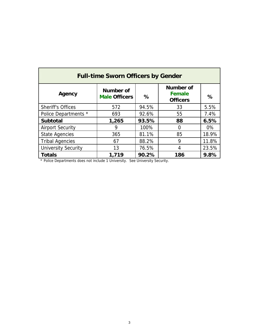| <b>Full-time Sworn Officers by Gender</b> |                                   |       |                                                      |       |  |  |  |  |  |
|-------------------------------------------|-----------------------------------|-------|------------------------------------------------------|-------|--|--|--|--|--|
| Agency                                    | Number of<br><b>Male Officers</b> | %     | <b>Number of</b><br><b>Female</b><br><b>Officers</b> | %     |  |  |  |  |  |
| <b>Sheriff's Offices</b>                  | 572                               | 94.5% | 33                                                   | 5.5%  |  |  |  |  |  |
| Police Departments *                      | 693                               | 92.6% | 55                                                   | 7.4%  |  |  |  |  |  |
| <b>Subtotal</b>                           | 1,265                             | 93.5% | 88                                                   | 6.5%  |  |  |  |  |  |
| <b>Airport Security</b>                   | 9                                 | 100%  | 0                                                    | 0%    |  |  |  |  |  |
| <b>State Agencies</b>                     | 365                               | 81.1% | 85                                                   | 18.9% |  |  |  |  |  |
| <b>Tribal Agencies</b>                    | 67                                | 88.2% | 9                                                    | 11.8% |  |  |  |  |  |
| <b>University Security</b>                | 13                                | 76.5% | 4                                                    | 23.5% |  |  |  |  |  |
| <b>Totals</b>                             | 1,719                             | 90.2% | 186                                                  | 9.8%  |  |  |  |  |  |

\* Police Departments does not include 1 University. See University Security.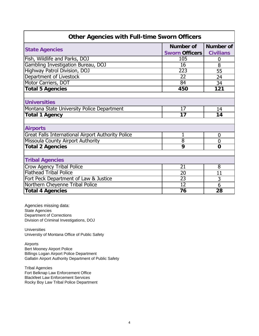| <b>Other Agencies with Full-time Sworn Officers</b>       |                       |                  |  |  |  |  |
|-----------------------------------------------------------|-----------------------|------------------|--|--|--|--|
|                                                           | Number of             | Number of        |  |  |  |  |
| <b>State Agencies</b>                                     | <b>Sworn Officers</b> | <b>Civilians</b> |  |  |  |  |
| Fish, Wildlife and Parks, DOJ                             | 105                   | 0                |  |  |  |  |
| Gambling Investigation Bureau, DOJ                        | $\overline{16}$       | 8                |  |  |  |  |
| Highway Patrol Division, DOJ                              | 223                   | 55               |  |  |  |  |
| Department of Livestock                                   | $\overline{22}$       | 24               |  |  |  |  |
| Motor Carriers, DOT                                       | 84                    | 34               |  |  |  |  |
| <b>Total 5 Agencies</b>                                   | 450                   | 121              |  |  |  |  |
|                                                           |                       |                  |  |  |  |  |
| <b>Universities</b>                                       |                       |                  |  |  |  |  |
| Montana State University Police Department                | 17                    | 14               |  |  |  |  |
| <b>Total 1 Agency</b>                                     | 17                    | 14               |  |  |  |  |
|                                                           |                       |                  |  |  |  |  |
| <b>Airports</b>                                           |                       |                  |  |  |  |  |
| <b>Great Falls International Airport Authority Police</b> | 1                     | 0                |  |  |  |  |
| Missoula County Airport Authority                         | $\overline{8}$        | $\overline{0}$   |  |  |  |  |
| <b>Total 2 Agencies</b>                                   | 9                     | $\Omega$         |  |  |  |  |
|                                                           |                       |                  |  |  |  |  |
| <b>Tribal Agencies</b>                                    |                       |                  |  |  |  |  |
| <b>Crow Agency Tribal Police</b>                          | 21                    | 8                |  |  |  |  |
| <b>Flathead Tribal Police</b>                             | 20                    | 11               |  |  |  |  |
| Fort Peck Department of Law & Justice                     | $\overline{23}$       | 3                |  |  |  |  |
| Northern Cheyenne Tribal Police                           | $\overline{12}$       | 6                |  |  |  |  |
| <b>Total 4 Agencies</b>                                   | 76                    | 28               |  |  |  |  |

Agencies missing data: State Agencies Department of Corrections Division of Criminal Investigations, DOJ

**Universities** Universtiy of Montana Office of Public Safety

Airports Bert Mooney Airport Police Billings Logan Airport Police Department Gallatin Airport Authority Department of Public Safety

Tribal Agencies Fort Belknap Law Enforcement Office Blackfeet Law Enforcement Services Rocky Boy Law Tribal Police Department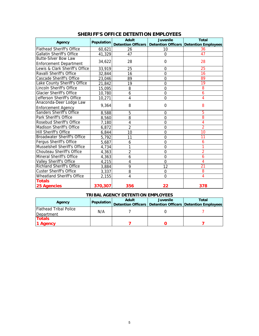| Agency                             | Population | <b>Adult</b>   | <b>Juvenile</b> | <b>Total</b><br>Detention Officers   Detention Officers   Detention Employees |
|------------------------------------|------------|----------------|-----------------|-------------------------------------------------------------------------------|
| <b>Flathead Sheriff's Office</b>   | 60,621     | 26             | 10              | 36                                                                            |
| <b>Gallatin Sheriff's Office</b>   | 41,329     | 47             | $\Omega$        | 47                                                                            |
| <b>Butte-Silver Bow Law</b>        |            |                |                 |                                                                               |
| <b>Enforcement Department</b>      | 34,622     | 28             | 0               | 28                                                                            |
| Lewis & Clark Sheriff's Office     | 33,919     | 25             | 0               | 25                                                                            |
| Ravalli Sheriff's Office           | 32,844     | 16             | $\overline{0}$  | 16                                                                            |
| <b>Cascade Sheriff's Office</b>    | 23,046     | 89             | $\overline{0}$  | 89                                                                            |
| Lake County Sheriff's Office       | 21,842     | 19             | $\overline{0}$  | 19                                                                            |
| Lincoln Sheriff's Office           | 15,095     | 8              | $\overline{0}$  | 8                                                                             |
| <b>Glacier Sheriff's Office</b>    | 10,780     | 6              | $\mathbf 0$     | 6                                                                             |
| Jefferson Sheriff's Office         | 10,271     | 4              | $\overline{0}$  | 4                                                                             |
| Anaconda-Deer Lodge Law            | 9,364      | 8              | $\Omega$        | 8                                                                             |
| <b>Enforcement Agency</b>          |            |                |                 |                                                                               |
| Sanders Sheriff's Office           | 8,588      | 5              | 0               | 5                                                                             |
| Park Sheriff's Office              | 8,560      | 8              | $\overline{0}$  | 8                                                                             |
| Rosebud Sheriff's Office           | 7,180      | 4              | $\overline{0}$  | 4                                                                             |
| <b>Madison Sheriff's Office</b>    | 6,872      | $\overline{2}$ | $\overline{0}$  | $\overline{2}$                                                                |
| <b>Hill Sheriff's Office</b>       | 6,844      | 10             | $\overline{0}$  | 10                                                                            |
| <b>Broadwater Sheriff's Office</b> | 5,792      | 11             | $\overline{0}$  | 11                                                                            |
| Fergus Sheriff's Office            | 5,687      | 6              | $\overline{0}$  | 6                                                                             |
| Musselshell Sheriff's Office       | 4,734      | 1              | $\overline{0}$  |                                                                               |
| Chouteau Sheriff's Office          | 4,363      | $\overline{2}$ | 0               | $\overline{2}$                                                                |
| Mineral Sheriff's Office           | 4,363      | 6              | $\overline{0}$  | 6                                                                             |
| Valley Sheriff's Office            | 4,215      | 4              | $\mathbf 0$     | 4                                                                             |
| <b>Richland Sheriff's Office</b>   | 3,884      | $\overline{9}$ | 12              | $\overline{21}$                                                               |
| <b>Custer Sheriff's Office</b>     | 3,337      | 8              | $\mathbf 0$     | 8                                                                             |
| Wheatland Sheriff's Office         | 2,155      | 4              | $\Omega$        | 4                                                                             |
| <b>Totals</b>                      |            |                |                 |                                                                               |
| <b>25 Agencies</b>                 | 370,307    | 356            | 22              | 378                                                                           |

## **SHERIFF'S OFFICE DETENTION EMPLOYEES**

## **TRIBAL AGENCY DETENTION EMPLOYEES**

|                                             | <b>Population</b> | <b>Adult</b> | <b>Juvenile</b> | Total                                                         |  |
|---------------------------------------------|-------------------|--------------|-----------------|---------------------------------------------------------------|--|
| Agency                                      |                   |              |                 | Detention Officers   Detention Officers   Detention Employees |  |
| <b>Flathead Tribal Police</b><br>Department | N/A               |              |                 |                                                               |  |
| <b>Totals</b><br>1 Agency                   |                   |              |                 |                                                               |  |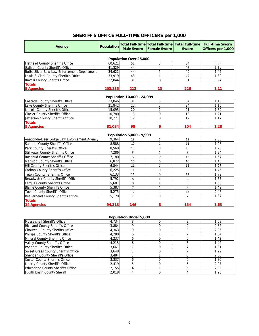# **SHERIFF'S OFFICE FULL-TIME OFFICERS per 1,000**

| Agency                                      | <b>Population</b> | <b>Male Sworn</b>              | <b>Total Full-time Total Full-time</b><br><b>Female Sworn</b> | <b>Total Full-time</b><br><b>Sworn</b> | <b>Full-time Sworn</b><br>Officers per 1,000 |  |  |  |
|---------------------------------------------|-------------------|--------------------------------|---------------------------------------------------------------|----------------------------------------|----------------------------------------------|--|--|--|
| Population Over 25,000                      |                   |                                |                                                               |                                        |                                              |  |  |  |
| Flathead County Sheriff's Office            | 60,621            | 51                             | 3                                                             | 54                                     | 0.89                                         |  |  |  |
| Gallatin County Sheriff's Office            | 41.329            | 44                             | 4                                                             | 48                                     | 1.16                                         |  |  |  |
| Butte-Silver Bow Law Enforcement Department | 34,622            | 44                             | 5                                                             | 49                                     | 1.42                                         |  |  |  |
| Lewis & Clark County Sheriff's Office       | 33,919            | 43                             | 1                                                             | 44                                     | 1.30                                         |  |  |  |
| Ravalli County Sheriffs Office              | 32,844            | 31                             | $\overline{0}$                                                | 31                                     | 0.94                                         |  |  |  |
| <b>Totals</b>                               |                   |                                |                                                               |                                        |                                              |  |  |  |
| <b>5 Agencies</b>                           | 203,335           | 213                            | 13                                                            | 226                                    | 1.11                                         |  |  |  |
|                                             |                   | Population 10,000 - 24,999     |                                                               |                                        |                                              |  |  |  |
| Cascade County Sheriff's Office             | 23,046            | 31                             | 3                                                             | 34                                     | 1.48                                         |  |  |  |
| Lake County Sheriff's Office                | 21.842            | 22                             | $\overline{2}$                                                | 24                                     | 1.10                                         |  |  |  |
| Lincoln County Sheriff's Office             | 15,095            | 20                             | 1                                                             | 21                                     | 1.39                                         |  |  |  |
| <b>Glacier County Sheriff's Office</b>      | 10,780            | 13                             | $\Omega$                                                      | 13                                     | 1.21                                         |  |  |  |
| Jefferson County Sheriff's Office           | 10,271            | $\overline{12}$                | $\overline{0}$                                                | $\overline{12}$                        | 1.17                                         |  |  |  |
| <b>Totals</b>                               |                   |                                |                                                               |                                        |                                              |  |  |  |
| <b>5 Agencies</b>                           | 81,034            | 98                             | 6                                                             | 104                                    | 1.28                                         |  |  |  |
|                                             |                   |                                |                                                               |                                        |                                              |  |  |  |
| Anaconda-Deer Lodge Law Enforcement Agency  | 9,364             | Population 5,000 - 9,999<br>18 | 1                                                             | 19                                     | 2.03                                         |  |  |  |
| Sanders County Sheriff's Office             | 8,588             | 10                             | $\mathbf{1}$                                                  | 11                                     | 1.28                                         |  |  |  |
| Park County Sheriff's Office                | 8.560             | 15                             | 0                                                             | 15                                     | 1.75                                         |  |  |  |
| <b>Stillwater County Sheriff's Office</b>   | 7,286             | 8                              | $\mathbf 1$                                                   | 9                                      | 1.24                                         |  |  |  |
| Rosebud County Sheriff's Office             | 7,180             | 12                             | $\mathbf 0$                                                   | 12                                     | 1.67                                         |  |  |  |
| Madison County Sheriff's Office             | 6,872             | 10                             | $\mathbf 0$                                                   | 10                                     | 1.46                                         |  |  |  |
| Hill County Sheriff's Office                | 6,844             | 11                             | $\mathbf{1}$                                                  | 12                                     | 1.75                                         |  |  |  |
| Carbon County Sheriff's Office              | 6,225             | 9                              | $\mathbf 0$                                                   | 9                                      | 1.45                                         |  |  |  |
| Teton County Sheriff's Office               | 6,133             | 11                             | $\mathbf 0$                                                   | 11                                     | 1.79                                         |  |  |  |
| Broadwater County Sheriff's Office          | 5.792             | 8                              | $\mathbf{1}$                                                  | 9                                      | 1.55                                         |  |  |  |
| Fergus County Sheriff's Office              | 5,687             | 8                              | $\mathbf{1}$                                                  | 9                                      | 1.58                                         |  |  |  |
| Blaine County Sheriff's Office              | 5,387             | $\overline{7}$                 | $\mathbf{1}$                                                  | 8                                      | 1.49                                         |  |  |  |
| Toole County Sheriff's Office               | 5,275             | 12                             | $\mathbf{1}$                                                  | 13                                     | 2.46                                         |  |  |  |
| Beaverhead County Sheriff's Office          | 5,120             | $\overline{7}$                 | $\Omega$                                                      | $\overline{7}$                         | 1.37                                         |  |  |  |
| <b>Totals</b>                               |                   |                                |                                                               |                                        |                                              |  |  |  |
| <b>14 Agencies</b>                          | 94,313            | 146                            | 8                                                             | 154                                    | 1.63                                         |  |  |  |

#### **Population Under 5,000**

| Musselshell Sheriff's Office            | 4.734 |   |  | 1.69 |
|-----------------------------------------|-------|---|--|------|
| <b>Richland County Sheriff's Office</b> | 3.884 |   |  | 2.32 |
| Chouteau County Sheriffs Office         | 4,363 |   |  | 2.06 |
| Phillips County Sheriff's Office        | 4,280 |   |  | 1.64 |
| Mineral County Sheriff's Office         | 4,237 | h |  | 1.42 |
| Valley County Sheriff's Office          | 4.215 |   |  | 1.42 |
| Pondera County Sheriff's Office         | 3.667 |   |  | 1.91 |
| Sweet Grass County Sheriff's Office     | 3,648 |   |  | 1.92 |
| Sheridan County Sheriff's Office        | 3,484 |   |  | 2.30 |
| Custer County Sheriff's Office          | 3,337 |   |  | 1.80 |
| Liberty County Sheriff's Office         | 2,419 |   |  | 2.07 |
| Wheatland County Sheriff's Office       | 2.155 |   |  | 2.32 |
| Judith Basin County Sheriff             | 2.018 |   |  | 1.98 |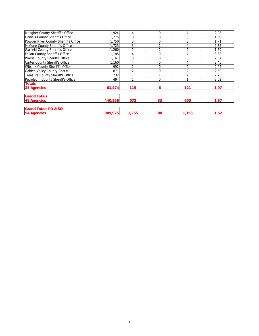| Meagher County Sheriff's Office       | 1.924   | 4              | $\Omega$ | 4              | 2.08 |
|---------------------------------------|---------|----------------|----------|----------------|------|
| Daniels County Sheriff's Office       | 1.775   | 3              | $\Omega$ | 3              | 1.69 |
| Powder River County Sheriff's Office  | 1.750   | 3              | $\Omega$ | 3              | 1.71 |
| McCone County Sheriff's Office        | 1,723   | 3              |          | 4              | 2.32 |
| Garfield County Sheriff's Office      | 1,260   |                |          | $\overline{2}$ | 1.59 |
| Fallon County Sheriff's Office        | 1,185   | 4              | $\Omega$ | 4              | 3.38 |
| Prairie County Sheriff's Office       | 1,167   | 3              | $\Omega$ | 3              | 2.57 |
| Carter County Sheriff's Office        | 1,160   | 4              | $\Omega$ | 4              | 3.45 |
| <b>Wibaux County Sheriff's Office</b> | 992     | $\mathfrak{p}$ | $\Omega$ | $\overline{2}$ | 2.02 |
| <b>Golden Valley County Sheriff</b>   | 871     | $\mathfrak{p}$ | $\Omega$ | $\overline{2}$ | 2.30 |
| Treasure County Sheriff's Office      | 732     |                |          | $\overline{2}$ | 2.73 |
| Petroleum County Sheriff's Office     | 494     |                | $\Omega$ |                | 2.02 |
| <b>Totals</b>                         |         |                |          |                |      |
| 25 Agencies                           | 61,474  | 115            | 6        | 121            | 1.97 |
| <b>Grand Totals</b>                   |         |                |          |                |      |
| <b>49 Agencies</b>                    | 440,156 | 572            | 33       | 605            | 1.37 |
| <b>Grand Totals PD &amp; SO</b>       |         |                |          |                |      |
| 94 Agencies                           | 889,975 | 1,265          | 88       | 1,353          | 1.52 |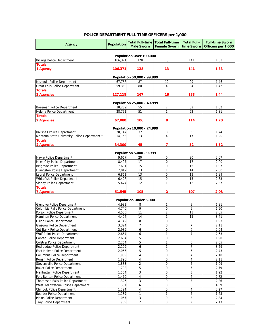## **POLICE DEPARTMENT FULL-TIME OFFICERS per 1,000**

| <b>Agency</b>                                                        | <b>Population</b> | <b>Male Sworn</b>          | <b>Total Full-time   Total Full-time</b><br><b>Female Sworn</b> | <b>Total Full-</b><br>time Sworn | <b>Full-time Sworn</b><br>Officers per 1,000 |
|----------------------------------------------------------------------|-------------------|----------------------------|-----------------------------------------------------------------|----------------------------------|----------------------------------------------|
|                                                                      |                   | Population Over 100,000    |                                                                 |                                  |                                              |
| <b>Billings Police Department</b>                                    | 106,371           | 128                        | 13                                                              | 141                              | 1.33                                         |
| <b>Totals</b>                                                        |                   |                            |                                                                 |                                  |                                              |
| 1 Agency                                                             | 106,371           | 128                        | 13                                                              | 141                              | 1.33                                         |
|                                                                      |                   | Population 50,000 - 99,999 |                                                                 |                                  |                                              |
| Missoula Police Department                                           | 67.758            | 87                         | 12                                                              | 99                               | 1.46                                         |
| <b>Great Falls Police Department</b>                                 | 59,360            | 80                         | 4                                                               | 84                               | 1.42                                         |
| <b>Totals</b>                                                        |                   |                            |                                                                 |                                  |                                              |
| 2 Agencies                                                           | 127,118           | 167                        | 16                                                              | 183                              | 1.44                                         |
|                                                                      |                   | Population 25,000 - 49,999 |                                                                 |                                  |                                              |
| Bozeman Police Department                                            | 38,289            | 55                         | $\overline{7}$                                                  | 62                               | 1.62                                         |
| Helena Police Department                                             | 28,791            | 51                         | 1                                                               | 52                               | 1.81                                         |
| <b>Totals</b>                                                        |                   |                            |                                                                 |                                  |                                              |
| 2 Agencies                                                           | 67,080            | 106                        | 8                                                               | 114                              | 1.70                                         |
|                                                                      |                   | Population 10,000 - 24,999 |                                                                 |                                  |                                              |
| Kalispell Police Department                                          | 20,147            | 32                         | 3                                                               | 35                               | 1.74                                         |
| Montana State University Police Department *                         | 14,153            | 13                         | 4                                                               | 17                               | 1.20                                         |
| <b>Totals</b>                                                        |                   |                            |                                                                 |                                  |                                              |
| 2 Agencies                                                           | 34,300            | 45                         | 7                                                               | 52                               | 1.52                                         |
|                                                                      |                   | Population 5,000 - 9,999   |                                                                 |                                  |                                              |
| Havre Police Department                                              | 9,667             | 20                         | 0                                                               | 20                               | 2.07                                         |
| Miles City Police Department                                         | 8,497             | 17                         | 0                                                               | 17                               | 2.00                                         |
| Belgrade Police Department                                           | 7,601             | 15                         | $\overline{0}$                                                  | 15                               | 1.97                                         |
| Livingston Police Department                                         | 7,017             | 13                         | $\mathbf{1}$                                                    | 14                               | 2.00                                         |
| Laurel Police Department                                             | 6,861             | 13                         | 0                                                               | 13                               | 1.89                                         |
| Whitefish Police Department                                          | 6,428             | 15                         | 0                                                               | 15                               | 2.33                                         |
| <b>Sidney Police Department</b>                                      | 5,474             | 12                         | $\mathbf{1}$                                                    | 13                               | 2.37                                         |
| <b>Totals</b>                                                        |                   |                            |                                                                 |                                  |                                              |
| <b>7 Agencies</b>                                                    | 51,545            | 105                        | $\overline{2}$                                                  | 107                              | 2.08                                         |
|                                                                      |                   | Population Under 5,000     |                                                                 |                                  |                                              |
| <b>Glendive Police Department</b>                                    | 4,981             | 8                          | 1                                                               | 9                                | 1.81                                         |
| Columbia Falls Police Department                                     | 4.740             | 9                          | $\mathbf 0$                                                     | 9                                | 1.90                                         |
| Polson Police Department                                             | 4,555             | 11                         | 2                                                               | 13                               | 2.85                                         |
| Hamilton Police Department                                           | 4,404             | 14                         | $\mathbf{1}$                                                    | 15                               | 3.41                                         |
| <b>Dillon Police Department</b>                                      | 4,142             | 8                          | $\mathbf 0$                                                     | 8                                | 1.93                                         |
| <b>Glasgow Police Department</b>                                     | 3,324             | $\overline{7}$             | 0                                                               | 7                                | 2.11                                         |
| Cut Bank Police Department                                           | 2,939             | 6                          | $\overline{0}$                                                  | 6                                | 2.04                                         |
| Wolf Point Police Department                                         | 2,664             | 6                          | 1                                                               | 7                                | 2.63                                         |
| <b>Conrad Police Department</b><br><b>Colstrip Police Department</b> | 2,634<br>2,264    | 5<br>5                     | 0<br>1                                                          | 5<br>6                           | 1.90<br>2.65                                 |
| Red Lodge Police Department                                          | 2,129             | 6                          | $\mathbf{1}$                                                    | 7                                | 3.29                                         |
| East Helena Police Department                                        | 2,055             | 5                          | 0                                                               | 5                                | 2.43                                         |
| <b>Columbus Police Department</b>                                    | 1,909             | 4                          | 0                                                               | 4                                | 2.10                                         |
| Ronan Police Department                                              | 1,896             | 4                          | 0                                                               | 4                                | 2.11                                         |
| Stevensville Police Department                                       | 1,833             | 2                          | 0                                                               | 2                                | 1.09                                         |
| <b>Baker Police Department</b>                                       | 1,792             | 5                          | 0                                                               | 5                                | 2.79                                         |
| Manhattan Police Department                                          | 1,564             | 3                          | 0                                                               | 3                                | 1.92                                         |
| Fort Benton Police Department                                        | 1,470             | 4                          | 0                                                               | 4                                | 2.72                                         |
| Thompson Falls Police Department                                     | 1,326             | 3                          | 0                                                               | 3                                | 2.26                                         |
| West Yellowstone Police Department                                   | 1,307             | 6                          | 0                                                               | 6                                | 4.59                                         |
| <b>Chinook Police Department</b>                                     | 1,224             | 4                          | 0                                                               | 4                                | 3.27                                         |
| <b>Boulder Police Department</b>                                     | 1,189             | 1                          | 1                                                               | $\overline{2}$                   | 1.68                                         |
| Plains Police Department                                             | 1,057             | $\overline{3}$             | $\boldsymbol{0}$                                                | $\mathbf{3}$                     | 2.84                                         |
| <b>Troy Police Department</b>                                        | 939               | $\overline{2}$             | 0                                                               | $\overline{2}$                   | 2.13                                         |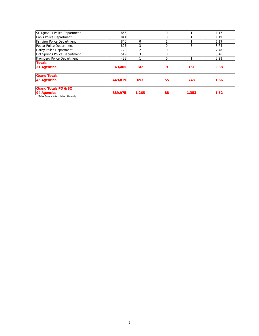| 855     |                | 0  |       | 1.17 |
|---------|----------------|----|-------|------|
| 841     |                | 0  |       | 1.19 |
| 840     | 0              |    |       | 1.19 |
| 825     |                |    | 3     | 3.64 |
| 720     | $\mathfrak{p}$ | n  | 2     | 2.78 |
| 549     | 3              | U  | 3     | 5.46 |
| 438     |                | 0  |       | 2.28 |
|         |                |    |       |      |
| 63,405  | 142            | 9  | 151   | 2.38 |
|         |                |    |       |      |
| 449,819 | 693            | 55 | 748   | 1.66 |
|         |                |    |       |      |
| 889,975 | 1,265          | 88 | 1,353 | 1.52 |
|         |                |    |       |      |

Departments includes 1 University.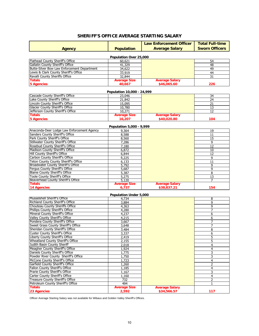|                                             |                               | <b>Law Enforcement Officer</b>       | <b>Total Full-time</b> |
|---------------------------------------------|-------------------------------|--------------------------------------|------------------------|
| Agency                                      | <b>Population</b>             | <b>Average Salary</b>                | <b>Sworn Officers</b>  |
|                                             |                               |                                      |                        |
|                                             | Population Over 25,000        |                                      |                        |
| Flathead County Sheriff's Office            | 60,621                        |                                      | 54                     |
| Gallatin County Sheriff's Office            | 41,329                        |                                      | 48                     |
| Butte-Silver Bow Law Enforcement Department | 34,622                        |                                      | 49                     |
| Lewis & Clark County Sheriff's Office       | 33,919                        |                                      | 44                     |
| Ravalli County Sheriffs Office              | 32,844                        |                                      | 31                     |
| <b>Totals</b><br><b>5 Agencies</b>          | <b>Average Size</b><br>40,667 | <b>Average Salary</b><br>\$46,065.60 | 226                    |
|                                             |                               |                                      |                        |
|                                             | Population 10,000 - 24,999    |                                      |                        |
| Cascade County Sheriff's Office             | 23,046                        |                                      | 34                     |
| Lake County Sheriff's Office                | 21,842                        |                                      | 24                     |
| Lincoln County Sheriff's Office             | 15,095                        |                                      | 21                     |
| <b>Glacier County Sheriff's Office</b>      | 10,780                        |                                      | 13                     |
| Jefferson County Sheriff's Office           | 10,271                        |                                      | 12                     |
| <b>Totals</b>                               | <b>Average Size</b>           | <b>Average Salary</b>                |                        |
| <b>5 Agencies</b>                           | 16,207                        | \$40,020.80                          | 104                    |
|                                             |                               |                                      |                        |
|                                             | Population 5,000 - 9,999      |                                      |                        |
| Anaconda-Deer Lodge Law Enforcement Agency  | 9,364                         |                                      | 19                     |
| Sanders County Sheriff's Office             | 8,588                         |                                      | 11                     |
| Park County Sheriff's Office                | 8,560                         |                                      | 15                     |
| Stillwater County Sheriff's Office          | 7,286                         |                                      | 9                      |
| Rosebud County Sheriff's Office             | 7,180                         |                                      | 12                     |
| Madison County Sheriff's Office             | 6,872                         |                                      | 10                     |
| <b>Hill County Sheriff's Office</b>         | 6,844                         |                                      | 12                     |
| Carbon County Sheriff's Office              | 6,225                         |                                      | 9                      |
| <b>Teton County County Sheriff's Office</b> | 6,133                         |                                      | 11                     |
| Broadwater County Sheriff's Office          | 5,792                         |                                      | 9                      |
| Fergus County Sheriff's Office              | 5,687                         |                                      | 9                      |
| <b>Blaine County Sheriff's Office</b>       | 5,387                         |                                      | 8                      |
| <b>Toole County Sheriff's Office</b>        | 5,275                         |                                      | 13                     |
| Beaverhead County Sheriff's Office          | 5,120                         |                                      | 7                      |
| <b>Totals</b>                               | <b>Average Size</b>           | <b>Average Salary</b>                |                        |
| <b>14 Agencies</b>                          | 6,737                         | \$38,837.21                          | 154                    |
|                                             | Population Under 5,000        |                                      |                        |
| Musselshell Sheriff's Office                | 4,734                         |                                      | 8                      |
| Richland County Sheriff's Office            | 3,884                         |                                      | 9                      |
| Chouteau County Sheriffs Office             | 4,363                         |                                      | 9                      |
| Phillips County Sheriff's Office            | 4,280                         |                                      | 7                      |
| Mineral County Sheriff's Office             | 4,237                         |                                      | 6                      |
| Valley County Sheriff's Office              | 4,215                         |                                      | 6                      |
| Pondera County Sheriff's Office             | 3,667                         |                                      | 7                      |
| Sweet Grass County Sheriff's Office         | 3,648                         |                                      |                        |
| Sheridan County Sheriff's Office            | 3,484                         |                                      | 8                      |
| <b>Custer County Sheriff's Office</b>       | 3,337                         |                                      | 6                      |
| Liberty County Sheriff's Office             | 2.419                         |                                      | 5                      |
| Wheatland County Sheriff's Office           | 2,155                         |                                      | 5                      |
| Judith Basin County Sheriff                 | 2,018                         |                                      | 4                      |
| Meagher County Sheriff's Office             | 1,924                         |                                      | 4                      |
| Daniels County Sheriff's Office             | 1,775                         |                                      | 3                      |
| Powder River County Sheriff's Office        |                               |                                      |                        |
| McCone County Sheriff's Office              | 1,750                         |                                      | 3                      |
|                                             | 1,723                         |                                      | 4                      |
| Garfield County Sheriff's Office            | 1,260                         |                                      | 2                      |
| Fallon County Sheriff's Office              | 1,185                         |                                      | 4                      |
| Prarie County Sheriff's Office              | 1,167                         |                                      | 3                      |
| Carter County Sheriff's Office              | 1,160                         |                                      | 4                      |
| <b>Treasure County Sheriff's Office</b>     | 732                           |                                      | 2                      |
| Petroleum County Sheriff's Office           | 494                           |                                      | $\mathbf{1}$           |
| <b>Totals</b>                               | <b>Average Size</b>           | <b>Average Salary</b>                |                        |
| 23 Agencies                                 | 2,592                         | \$34,566.57                          | 117                    |

# **SHERIFF'S OFFICE AVERAGE STARTING SALARY**

Officer Average Starting Salary was not available for Wibaux and Golden Valley Sheriff's Offices.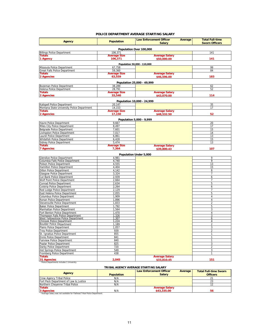#### **POLICE DEPARTMENT AVERAGE STARTING SALARY**

| <b>Agency</b>                                                  | <b>Population</b>       | <b>Law Enforcement Officer</b><br>Average<br><b>Salary</b> |  | <b>Total Full-time</b><br><b>Sworn Officers</b> |  |  |  |  |
|----------------------------------------------------------------|-------------------------|------------------------------------------------------------|--|-------------------------------------------------|--|--|--|--|
|                                                                | Population Over 100,000 |                                                            |  |                                                 |  |  |  |  |
| <b>Billings Police Department</b>                              | 106,371                 |                                                            |  | 141                                             |  |  |  |  |
| <b>Totals</b>                                                  | <b>Average Size</b>     | <b>Average Salary</b>                                      |  |                                                 |  |  |  |  |
| 1 Agency                                                       | 106,371                 | \$50,000.00                                                |  | 141                                             |  |  |  |  |
|                                                                |                         | Population 50,000 - 110,000                                |  |                                                 |  |  |  |  |
| Missoula Police Department                                     | 67.758                  |                                                            |  | 99                                              |  |  |  |  |
| Great Falls Police Department                                  | 59,360                  |                                                            |  | 84                                              |  |  |  |  |
| <b>Totals</b>                                                  | <b>Average Size</b>     | <b>Average Salary</b>                                      |  |                                                 |  |  |  |  |
| 2 Agencies                                                     | 63,559                  | \$46,596.00                                                |  | 183                                             |  |  |  |  |
|                                                                |                         | Population 25,000 - 49,999                                 |  |                                                 |  |  |  |  |
| Bozeman Police Department                                      | 38,289                  |                                                            |  | 62                                              |  |  |  |  |
| Helena Police Department                                       | 28.791                  |                                                            |  | 52                                              |  |  |  |  |
| Totals                                                         | <b>Average Size</b>     | <b>Average Salary</b>                                      |  |                                                 |  |  |  |  |
| 2 Agencies                                                     | 33,540                  | \$43,070.00                                                |  | 114                                             |  |  |  |  |
|                                                                |                         | Population 10,000 - 24,999                                 |  |                                                 |  |  |  |  |
| Kalispell Police Department                                    | 20,147                  |                                                            |  | 35                                              |  |  |  |  |
| Montana State University Police Department                     | 14,153                  |                                                            |  | 17                                              |  |  |  |  |
| <b>Totals</b>                                                  | <b>Average Size</b>     | <b>Average Salary</b>                                      |  |                                                 |  |  |  |  |
| 2 Agencies                                                     | 17,150                  | \$48,532.50                                                |  | 52                                              |  |  |  |  |
|                                                                |                         | Population 5,000 - 9,999                                   |  |                                                 |  |  |  |  |
| Havre Police Department                                        | 9,667                   |                                                            |  | 20                                              |  |  |  |  |
| Miles City Police Department                                   | 8,497                   |                                                            |  | 17                                              |  |  |  |  |
| Belgrade Police Department                                     | 7,601                   |                                                            |  | 15                                              |  |  |  |  |
| Livingston Police Department                                   | 7,017                   |                                                            |  | 14                                              |  |  |  |  |
| Laurel Police Department                                       | 6,861                   |                                                            |  | 13                                              |  |  |  |  |
| Whitefish Police Department<br><b>Sidney Police Department</b> | 6,428<br>5,474          |                                                            |  | 15<br>13                                        |  |  |  |  |
| <b>Totals</b>                                                  | <b>Average Size</b>     | <b>Average Salary</b>                                      |  |                                                 |  |  |  |  |
| <b>7 Agencies</b>                                              | 7,364                   | \$39,800.43                                                |  | 107                                             |  |  |  |  |
|                                                                |                         | Population Under 5,000                                     |  |                                                 |  |  |  |  |
| <b>Glendive Police Department</b>                              | 4,981                   |                                                            |  | 9                                               |  |  |  |  |
| Columbia Falls Police Department                               | 4,740                   |                                                            |  | 9                                               |  |  |  |  |
| Polson Police Department                                       | 4,555                   |                                                            |  | 13                                              |  |  |  |  |
| Hamilton Police Department                                     | 4,404                   |                                                            |  | 15                                              |  |  |  |  |
| <b>Dillon Police Department</b>                                | 4,142                   |                                                            |  | 8                                               |  |  |  |  |
| <b>Glasgow Police Department</b><br>Cut Bank Police Department | 3,324<br>2,939          |                                                            |  | 7<br>6                                          |  |  |  |  |
| Wolf Point Police Department                                   | 2,664                   |                                                            |  | $\overline{7}$                                  |  |  |  |  |
| Conrad Police Department                                       | 2,634                   |                                                            |  | 5                                               |  |  |  |  |
| <b>Colstrip Police Department</b>                              | 2,264                   |                                                            |  | 6                                               |  |  |  |  |
| Red Lodge Police Department                                    | 2,129                   |                                                            |  | 7                                               |  |  |  |  |
| East Helena Police Department                                  | 2,055                   |                                                            |  | 5                                               |  |  |  |  |
| Columbus Police Department                                     | 1,909                   |                                                            |  | 4                                               |  |  |  |  |
| Ronan Police Department                                        | 1,896                   |                                                            |  | $\overline{4}$                                  |  |  |  |  |
| Stevensville Police Department                                 | 1,833                   |                                                            |  | $\overline{2}$                                  |  |  |  |  |
| <b>Baker Police Department</b>                                 | 1,792                   |                                                            |  | 5                                               |  |  |  |  |
| Manhattan Police Department<br>Fort Benton Police Department   | 1,564<br>1,470          |                                                            |  | 3<br>$\overline{4}$                             |  |  |  |  |
| Thompson Falls Police Department                               | 1,326                   |                                                            |  | 3                                               |  |  |  |  |
| West Yellowstone Police Department                             | 1,307                   |                                                            |  | 6                                               |  |  |  |  |
| <b>Chinook Police Department</b>                               | 1,224                   |                                                            |  | 4                                               |  |  |  |  |
| <b>Boulder Police Department</b>                               | 1,189                   |                                                            |  | 2                                               |  |  |  |  |
| Plains Police Department<br><b>Troy Police Department</b>      | 1,057<br>939            |                                                            |  | 3<br>$\overline{2}$                             |  |  |  |  |
| St. Ignatius Police Department                                 | 855                     |                                                            |  | $\mathbf{1}$                                    |  |  |  |  |
| <b>Ennis Police Department</b>                                 | 841                     |                                                            |  | 1                                               |  |  |  |  |
| <b>Fairview Police Department</b>                              | 840                     |                                                            |  | $\mathbf{1}$                                    |  |  |  |  |
| Poplar Police Department                                       | 825                     |                                                            |  | 3                                               |  |  |  |  |
| Darby Police Department                                        | 720                     |                                                            |  | $\overline{c}$                                  |  |  |  |  |
| Hot Springs Police Department                                  | 549                     |                                                            |  | 3                                               |  |  |  |  |
| Fromberg Police Department                                     | 438                     |                                                            |  | $\mathbf{1}$                                    |  |  |  |  |
| Totals<br>31 Agencies                                          |                         | <b>Average Salary</b>                                      |  |                                                 |  |  |  |  |
| *Police Departments includes 1 University.                     | 2,045                   | \$33,810.45                                                |  | 151                                             |  |  |  |  |

#### **TRIBAL AGENCY AVERAGE STARTING SALARY**

| Agency                                                                   | <b>Population</b> | <b>Law Enforcement Officer</b><br>Average<br><b>Salary</b> | <b>Total Full-time Sworn</b><br><b>Officers</b> |
|--------------------------------------------------------------------------|-------------------|------------------------------------------------------------|-------------------------------------------------|
| Crow Agency Tribal Police                                                | N/A               |                                                            |                                                 |
| Fort Peck Department of Law & Justice                                    | N/A               |                                                            | دے                                              |
| Northern Chevenne Tribal Police                                          | N/A               |                                                            |                                                 |
| <b>Totals</b>                                                            |                   | <b>Average Salary</b>                                      |                                                 |
| <b>3 Agencies</b>                                                        | N/A               | \$43,335.00                                                | 56                                              |
| *Average Salary was not available for Flathead Tribal Police Department. |                   |                                                            |                                                 |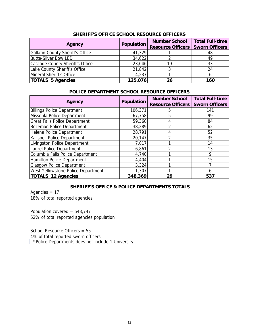| Agency                           | Population | <b>Number School</b><br><b>Resource Officers</b> | <b>Total Full-time</b><br><b>Sworn Officers</b> |
|----------------------------------|------------|--------------------------------------------------|-------------------------------------------------|
| Gallatin County Sheriff's Office | 41,329     |                                                  | 48                                              |
| <b>Butte-Silver Bow LED</b>      | 34,622     |                                                  | 49                                              |
| Cascade County Sheriff's Office  | 23,046     | 19                                               | 33                                              |
| Lake County Sheriff's Office     | 21,842     |                                                  | 24                                              |
| Mineral Sheriff's Office         | 4,237      |                                                  |                                                 |
| <b>TOTALS 5 Agencies</b>         | 125,076    | 26                                               | 160                                             |

### **SHERIFF'S OFFICE SCHOOL RESOURCE OFFICERS**

## **POLICE DEPARTMENT SCHOOL RESOURCE OFFICERS**

| Agency                                    | Population | <b>Number School</b><br><b>Resource Officers</b> | <b>Total Full-time</b><br><b>Sworn Officers</b> |
|-------------------------------------------|------------|--------------------------------------------------|-------------------------------------------------|
| <b>Billings Police Department</b>         | 106,371    | 5                                                | 141                                             |
| Missoula Police Department                | 67,758     | 5                                                | 99                                              |
| <b>Great Falls Police Department</b>      | 59,360     | 4                                                | 84                                              |
| Bozeman Police Department                 | 38,289     |                                                  | 62                                              |
| Helena Police Department                  | 28,791     | 4                                                | 52                                              |
| Kalispell Police Department               | 20,147     | າ                                                | 35                                              |
| Livingston Police Department              | 7,017      |                                                  | 14                                              |
| Laurel Police Department                  | 6,861      | າ                                                | 13                                              |
| Columbia Falls Police Department          | 4,740      |                                                  | 9                                               |
| Hamilton Police Department                | 4,404      |                                                  | 15                                              |
| <b>Glasgow Police Department</b>          | 3,324      |                                                  |                                                 |
| <b>West Yellowstone Police Department</b> | 1,307      |                                                  | n                                               |
| <b>TOTALS 12 Agencies</b>                 | 348,369    | 29                                               | 537                                             |

## **SHERIFF'S OFFICE & POLICE DEPARTMENTS TOTALS**

Agencies = 17 18% of total reported agencies

Population covered = 543,747 52% of total reported agencies population

School Resource Officers = 55 4% of total reported sworn officers

\*Police Departments does not include 1 University.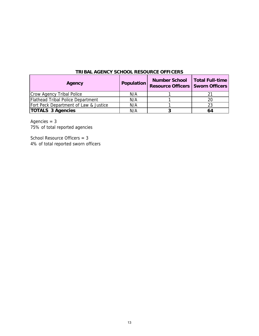| Agency                                | Population | Number School   Total Full-time<br><b>Resource Officers   Sworn Officers</b> |    |
|---------------------------------------|------------|------------------------------------------------------------------------------|----|
| Crow Agency Tribal Police             | N/A        |                                                                              |    |
| Flathead Tribal Police Department     | N/A        |                                                                              | 20 |
| Fort Peck Department of Law & Justice | N/A        |                                                                              | 23 |
| <b>TOTALS 3 Agencies</b>              | N/A        |                                                                              | 64 |

Agencies = 3 75% of total reported agencies

School Resource Officers = 3 4% of total reported sworn officers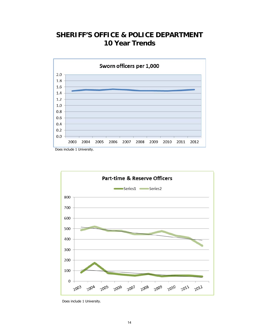# **SHERIFF'S OFFICE & POLICE DEPARTMENT 10 Year Trends**



Does include 1 University.



Does include 1 University.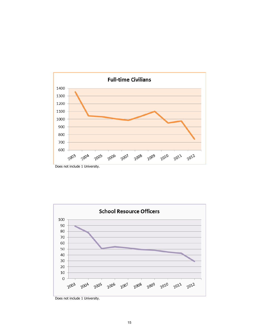





Does not include 1 University.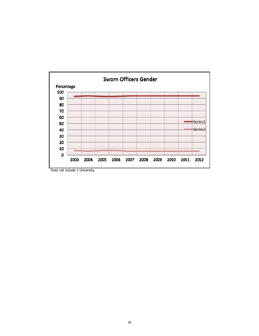

Does not include 1 University.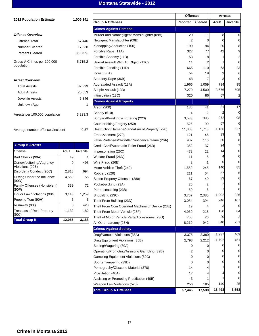## **Montana Statewide - 2012**

|                                      |                |           |                                                  | <b>Offenses</b> |                | <b>Arrests</b> |                         |
|--------------------------------------|----------------|-----------|--------------------------------------------------|-----------------|----------------|----------------|-------------------------|
| <b>2012 Population Estimate</b>      |                | 1,005,141 | <b>Group A Offenses</b>                          | Reported        | Cleared        | Adult          | Juvenile                |
|                                      |                |           | <b>Crimes Against Persons</b>                    |                 |                |                |                         |
| <b>Offense Overview</b>              |                |           | Murder and Nonnegligent Manslaughter (09A)       | 20              | 11             | 8              | 0                       |
| Offense Total                        |                | 57,446    | Negligent Manslaughter (09B)                     | 2               | $\overline{0}$ | $\mathbf 0$    | 0                       |
| <b>Number Cleared</b>                |                | 17,538    | Kidnapping/Abduction (100)                       | 199             | 94             | 80             | 8                       |
|                                      |                |           | Forcible Rape (11A)                              | 327             | 77             | 42             | 9                       |
| <b>Percent Cleared</b>               |                | 30.53 %   | Forcible Sodomy (11B)                            | 53              | 8              | 1              | 2                       |
| Group A Crimes per 100,000           |                | 5,715.2   | Sexual Assault With An Object (11C)              | 11              | 2              | 1              | 0                       |
| population                           |                |           | Forcible Fondling (11D)                          | 665             | 110            | 63             | 23                      |
|                                      |                |           | Incest (36A)                                     | 54              | 19             | 9              | 6                       |
| <b>Arrest Overview</b>               |                |           | Statutory Rape (36B)                             | 48              |                | 3              | 0                       |
| <b>Total Arrests</b>                 |                | 32,399    | Aggravated Assault (13A)                         | 1,966           | 1,059          | 794            | 95                      |
|                                      |                |           | Simple Assault (13B)                             | 7,279           | 4,500          | 3,676          | 595                     |
| <b>Adult Arrests</b>                 |                | 25,553    | Intimidation (13C)                               | 320             | 86             | 67             | 2                       |
| Juvenile Arrests                     |                | 6,846     | <b>Crimes Against Property</b>                   |                 |                |                |                         |
| Unknown Age                          |                | 1         | Arson (200)                                      | 185             | 41             | 31             | 17                      |
|                                      |                |           | Bribery (510)                                    | 4               |                | 2              | $\mathbf 0$             |
| Arrests per 100,000 population       |                | 3,223.3   | Burglary/Breaking & Entering (220)               | 3,533           | 380            | 272            | 98                      |
|                                      |                |           | Counterfeiting/Forgery (250)                     | 525             | 90             | 67             | 6                       |
| Average number offenses/incident     |                | 0.87      | Destruction/Damage/Vandalism of Property (290)   | 11,303          | 1,718          | 1,166          | 527                     |
|                                      |                |           | Embezzlement (270)                               | 121             | 46             | 39             | 3                       |
|                                      |                |           | False Pretenses/Swindle/Confidence Game (26A)    | 907             | 116            | 80             | 8                       |
| <b>Group B Arrests</b>               |                |           | Credit Card/Automatic Teller Fraud (26B)         | 352             | 37             | 24             | 7                       |
| Offense                              | Adult          | Juvenile  | Impersonation (26C)                              | 473             | 22             | 14             | 0                       |
| Bad Checks (90A)                     | 49             | 1         | Welfare Fraud (26D)                              | 11              | 5              | 4              | 0                       |
| Curfew/Loitering/Vagrancy            | 9              | 493       | Wire Fraud (26E)                                 | 2               |                | 0              | 0                       |
| Violations (90B)                     |                |           | Motor Vehicle Theft (240)                        | 1,559           | 245            | 140            | 85                      |
| Disorderly Conduct (90C)             | 2,818          | 694       | Robbery (120)                                    | 211             | 64             | 57             | 6                       |
| Driving Under the Influence<br>(90D) | 4,560          | 56        | Stolen Property Offenses (280)                   | 67              | 40             | 33             | 6                       |
| Family Offenses (Nonviolent)         | 339            | 72        | Pocket-picking (23A)                             | 26              |                |                | 0                       |
| (90F)                                |                |           | Purse-snatching (23B)                            | 50              | 6              |                | 0                       |
| Liquor Law Violations (90G)          | 3,143          | 1,259     | Shoplifting (23C)                                | 3,707           | 2,380          | 1,902          | 826                     |
| Peeping Tom (90H)                    | 5              | 3         | Theft From Building (23D)                        | 3,054           | 394            | 246            | 107                     |
| Runaway (90I)                        | $\overline{0}$ | 428       | Theft From Coin Operated Machine or Device (23E) | 19              | 4              | 3              | 0                       |
| <b>Trespass of Real Property</b>     | 1,132          | 182       | Theft From Motor Vehicle (23F)                   | 4,960           | 218            | 130            | 84                      |
| (90J)<br><b>Total Group B</b>        | 12,055         | 3,188     | Theft of Motor Vehicle Parts/Accessories (23G)   | 758             | 26             | 20             | $\overline{\mathbf{c}}$ |
|                                      |                |           | All Other Larceny (23H)                          | 8,210           | 942            | 640            | 251                     |
|                                      |                |           | <b>Crimes Against Society</b>                    |                 |                |                |                         |
|                                      |                |           | Drug/Narcotic Violations (35A)                   | 3,375           | 2,380          | 1,937          | 409                     |
|                                      |                |           | Drug Equipment Violations (35B)                  | 2,798           | 2,212          | 1,792          | 451                     |
|                                      |                |           | Betting/Wagering (39A)                           | 0               |                | 0              | 0                       |
|                                      |                |           | Operating/Promoting/Assisting Gambling (39B)     |                 |                |                | 0                       |
|                                      |                |           | Gambling Equipment Violations (39C)              | $\mathbf{0}$    | $\mathbf 0$    | 0              | 0                       |
|                                      |                |           | Sports Tampering (39D)                           | 0               | 0              | $\mathbf{0}$   | 0                       |
|                                      |                |           | Pornography/Obscene Material (370)               | 14              |                |                | 0                       |
|                                      |                |           | Prostitution (40A)                               | 17              |                |                | 0                       |
|                                      |                |           | Assisting or Promoting Prostitution (40B)        |                 |                |                | 0                       |
|                                      |                |           | Weapon Law Violations (520)                      | 256             | 185            | 140            | 25                      |
|                                      |                |           | <b>Total Group A Offenses</b>                    | 57,446          | 17,538         | 13,498         | 3,658                   |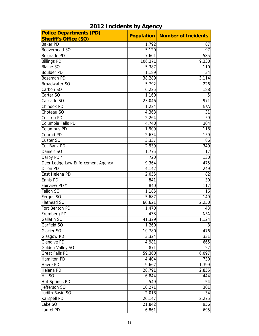| <b>Police Departments (PD)</b>    |         | <b>Population   Number of Incidents</b> |
|-----------------------------------|---------|-----------------------------------------|
| <b>Sheriff's Office (SO)</b>      |         |                                         |
| <b>Baker PD</b>                   | 1,792   | 87                                      |
| Beaverhead SO                     | 5,120   | 97                                      |
| Belgrade PD                       | 7,601   | 585                                     |
| <b>Billings PD</b>                | 106,371 | 9,330                                   |
| <b>Blaine SO</b>                  | 5,387   | 110                                     |
| <b>Boulder PD</b>                 | 1,189   | 34                                      |
| Bozeman PD                        | 38,289  | 3,114                                   |
| <b>Broadwater SO</b>              | 5,792   | 226                                     |
| Carbon SO                         | 6,225   | 188                                     |
| Carter SO                         | 1,160   | 5                                       |
| Cascade SO                        | 23,046  | 971                                     |
| Chinook PD                        | 1,224   | N/A                                     |
| Choteau SO                        | 4,363   | 31                                      |
| Colstrip PD                       | 2,264   | 59                                      |
| Columbia Falls PD                 | 4,740   | 304                                     |
| Columbus PD                       | 1,909   | 118                                     |
| Conrad PD                         | 2,634   | 159                                     |
| Custer SO                         | 3,337   | 86                                      |
| Cut Bank PD                       | 2,939   | 349                                     |
| Daniels SO                        | 1,775   | 17                                      |
| Darby PD *                        | 720     | 130                                     |
| Deer Lodge Law Enforcement Agency | 9,364   | 475                                     |
| <b>Dillon PD</b>                  | 4,142   | 249                                     |
| East Helena PD                    | 2,055   | 82                                      |
| Ennis PD                          | 841     | 30                                      |
| Fairview PD *                     | 840     | 117                                     |
| Fallon SO                         | 1,185   | 16                                      |
| Fergus SO                         | 5,687   | 149                                     |
| Flathead SO                       | 60,621  | 2,250                                   |
| Fort Benton PD                    | 1,470   | 43                                      |
| Fromberg PD                       | 438     | N/A                                     |
| Gallatin SO                       | 41,329  | 1,124                                   |
| Garfield SO                       | 1,260   | 3                                       |
| Glacier SO                        | 10,780  | 476                                     |
| Glasgow PD                        | 3,324   | 331                                     |
| <b>Glendive PD</b>                | 4,981   | 665                                     |
| Golden Valley SO                  | 871     | 27                                      |
| Great Falls PD                    | 59,360  | 6,097                                   |
| Hamilton PD                       | 4,404   | 730                                     |
| Havre PD                          |         | 1,399                                   |
| Helena PD                         | 9,667   |                                         |
| Hill SO                           | 28,791  | 2,855                                   |
|                                   | 6,844   | 444                                     |
| Hot Springs PD                    | 549     | 54                                      |
| Jefferson SO                      | 10,271  | 301                                     |
| Judith Basin SO                   | 2,018   | 34                                      |
| Kalispell PD                      | 20,147  | 2,275                                   |
| Lake SO                           | 21,842  | 956                                     |
| Laurel PD                         | 6,861   | 695                                     |

# **2012 Incidents by Agency**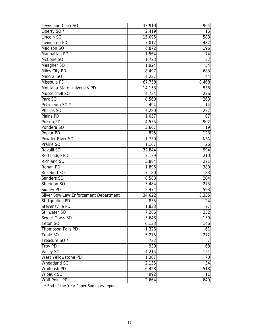| Lewis and Clark SO                    | 33,919 | 964            |
|---------------------------------------|--------|----------------|
| Liberty SO $*$                        | 2,419  | 16             |
| Lincoln SO                            | 15,095 | 583            |
| Livingston PD                         | 7,017  | 487            |
| Madison SO                            | 6,872  | 196            |
| Manhattan PD                          | 1,564  | 74             |
| McCone SO                             | 1,723  | 32             |
| Meagher SO                            | 1,924  | 54             |
| Miles City PD                         | 8,497  | 683            |
| <b>Mineral SO</b>                     | 4,237  | 44             |
| Missoula PD                           | 67,758 | 8,468          |
| Montana State University PD           | 14,153 | 538            |
| Musselshell SO                        | 4,734  | 226            |
| Park SO                               | 8,560  | 263            |
| Petroleum SO <sup>*</sup>             | 494    | 14             |
| Phillips SO                           | 4,280  | 227            |
| Plains PD                             | 1,057  | 67             |
| Polson PD                             | 4,555  | 902            |
| Pondera SO                            | 3,667  | 19             |
| Poplar PD                             | 825    | 123            |
| Powder River SO                       | 1,750  | N/A            |
| Prairie SO                            | 1,167  | 26             |
| Ravalli SO                            | 32,844 | 994            |
| Red Lodge PD                          | 2,129  | 210            |
| Richland SO                           | 3,884  | 271            |
| Ronan PD                              | 1,896  | 380            |
| Rosebud SO                            | 7,180  | 183            |
| Sanders SO                            | 8,588  | 204            |
| Sheridan SO                           | 3,484  | 275            |
| Sidney PD                             | 5,474  | 593            |
| Silver Bow Law Enforcement Department | 34,622 | 3,335          |
| St. Ignatius PD                       | 855    | 24             |
| Stevensville PD                       | 1,833  | 77             |
| Stillwater SO                         | 7,286  | 252            |
| Sweet Grass SO                        | 3,648  | 150            |
| <b>Teton SO</b>                       | 6,133  | 146            |
| Thompson Falls PD                     | 1,326  | 61             |
| Toole SO                              | 5,275  | 272            |
| Treasure SO *                         | 732    | $\overline{7}$ |
| <b>Troy PD</b>                        | 939    | 68             |
| Valley SO                             | 4,215  | 151            |
| West Yellowstone PD                   | 1,307  | 70             |
| Wheatland SO                          | 2,155  | 34             |
| Whitefish PD                          | 6,428  | 518            |
| Wibaux SO                             | 992    | 11             |
| Wolf Point PD                         | 2,664  | 649            |

\* End-of-the-Year Paper Summary report.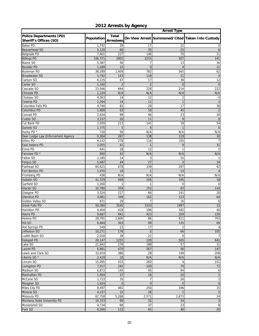|                                                          |                |                           |                 | <b>Arrest Type</b>    |                                                  |
|----------------------------------------------------------|----------------|---------------------------|-----------------|-----------------------|--------------------------------------------------|
| <b>Police Departments (PD)</b><br>Sheriff's Offices (SO) | Population     | Total<br><b>Arrestees</b> |                 |                       | On-View Arrest Summoned/Cited Taken Into Custody |
| <b>Baker PD</b>                                          | 1,792          | 39                        | 17              | 22                    | 0                                                |
| Beaverhead SO                                            | 5,120          | 66                        | 35              | 25                    | 6                                                |
| Belgrade PD                                              | 7,601          | 227                       | 146             | 70                    | 11                                               |
| <b>Billings PD</b>                                       | 106,371        | 2901                      | 2253            | 507                   | 141                                              |
| <b>Blaine SO</b>                                         | 5,387          | 56                        | 7               | 13                    | 36                                               |
| <b>Boulder PD</b>                                        | 1,189          | 15                        | $\overline{0}$  | $\overline{4}$        | 11                                               |
| Bozeman PD                                               | 38,289         | 1,409                     | 782             | 565                   | 62                                               |
| <b>Broadwater SO</b>                                     | 5,792          | 143                       | 118             | 21                    | $\overline{4}$                                   |
| Carbon SO                                                | 6,225          | 67                        | 17              | 38                    | 12                                               |
| Carter SO                                                | 1,160          | $\overline{2}$            | $\overline{2}$  | $\overline{0}$        | $\overline{0}$                                   |
| Cascade SO                                               | 23.046         | 664                       | 228             | 214                   | 222                                              |
| Chinook PD<br>Choteau SO                                 | 1,224<br>4,363 | N/A<br>14                 | N/A<br>12       | N/A<br>$\overline{2}$ | N/A<br>$\mathbf 0$                               |
| Colstrip PD                                              | 2,264          | 14                        | 11              | $\overline{1}$        | $\overline{c}$                                   |
| Columbia Falls PD                                        | 4,740          | 82                        | 29              | 17                    | 36                                               |
| Columbus PD                                              | 1,909          | 63                        | 16              | 45                    | $\overline{2}$                                   |
| Conrad PD                                                | 2,634          | 99                        | 46              | 23                    | 30                                               |
| Custer SO                                                | 3,337          | 20                        | 11              | 9                     | $\mathbf 0$                                      |
| Cut Bank PD                                              | 2,939          | 213                       | 141             | 18                    | 54                                               |
| Daniels SO                                               | 1,775          | 5                         | $\overline{4}$  | $\overline{1}$        | $\mathbf 0$                                      |
| Darby PD *                                               | 720            | 56                        | N/A             | N/A                   | N/A                                              |
| Deer Lodge Law Enforcement Agency                        | 9,364          | 267                       | 138             | 119                   | 10                                               |
| Dillon PD                                                | 4,142          | 278                       | 116             | 155                   | $\overline{7}$                                   |
| East Helena PD                                           | 2,055          | 41                        | $\mathbf{1}$    | 9                     | 31                                               |
| Ennis PD                                                 | 841            | 18                        | 12              | $\overline{1}$        | 5                                                |
| Fairview PD *                                            | 840            | 42                        | N/A             | N/A                   | N/A                                              |
| Fallon SO                                                | 1,185          | 14                        | 3               | 10                    | $\mathbf{1}$                                     |
| Fergus SO                                                | 5,687          | 44                        | 27              | 3                     | 14                                               |
| Flathead SO                                              | 60,621         | 678                       | 339             | 297                   | 42                                               |
| Fort Benton PD                                           | 1,470          | 18                        | $\overline{1}$  | 13                    | $\overline{4}$                                   |
| Fromberg PD                                              | 438            | N/A                       | N/A             | N/A                   | N/A                                              |
| Gallatin SO                                              | 41,329         | 469                       | 256             | 195                   | 18                                               |
| Garfield SO                                              | 1,260          | 1                         | $\mathbf{1}$    | $\mathbf 0$           | $\mathbf 0$                                      |
| Glacier SO                                               | 10,780         | 359                       | 152             | 83                    | 124                                              |
| Glasgow PD                                               | 3,324          | 227                       | 66              | 141                   | 20                                               |
| <b>Glendive PD</b>                                       | 4,981          | 349                       | 162             | 123                   | 64                                               |
| Golden Valley SO                                         | 871            | 29                        | 7               | 16                    | 6                                                |
| <b>Great Falls PD</b>                                    | 59,360         | 3545                      | 1533            | 1997                  | 15                                               |
| Hamilton PD                                              | 4,404          | 418                       | 196             | 182                   | 40                                               |
| Havre PD                                                 | 9,667          | 941                       | 423             | 359                   | 159                                              |
| Helena PD                                                | 28,791         | 1.600                     | 86              | 811                   | 703                                              |
| Hill SO                                                  | 6,844          | 303                       | 99              | 135                   | 69                                               |
| Hot Springs PD<br>Jefferson SO                           | 549<br>10,271  | 23<br>176                 | 17              | $\overline{2}$        | $\overline{4}$                                   |
| Judith Basin SO                                          | 2,018          | 28                        | 5<br>21         | 66<br>$\mathbf 0$     | 105<br>$\overline{7}$                            |
| Kalispell PD                                             | 20,147         | 1255                      | 109             | 505                   | 641                                              |
| Lake SO                                                  | 21,842         | 276                       | 188             | 57                    | 31                                               |
| Laurel PD                                                | 6,861          | 470                       | 267             | 56                    | 147                                              |
| Lewis and Clark SO                                       | 33,919         | 386                       | 28              | 149                   | 209                                              |
| Liberty SO <sup>*</sup>                                  | 2,419          | 10                        | N/A             | N/A                   | N/A                                              |
| Lincoln SO                                               | 15,095         | 415                       | 260             | $\overline{4}$        | 151                                              |
| Livingston PD                                            | 7,017          | 242                       | 100             | 70                    | 72                                               |
| Madison SO                                               | 6,872          | 145                       | 45              | 94                    | 6                                                |
| Manhattan PD                                             | 1,564          | 37                        | 16              | 20                    | $\mathbf{1}$                                     |
| McCone SO                                                | 1,723          | 35                        | $\overline{7}$  | 26                    | $\overline{2}$                                   |
| Meagher SO                                               | 1,924          | $\overline{0}$            | $\mathbf 0$     | $\mathbf{0}$          | $\overline{0}$                                   |
| Miles City PD                                            | 8,497          | 461                       | 250             | 196                   | 15                                               |
| Mineral SO                                               | 4,237          | 32                        | 28              | $\mathbf{1}$          | 3                                                |
| Missoula PD                                              | 67,758         | 5,268                     | 2,571           | 2,673                 | 24                                               |
| Montana State University PD                              | 14,153         | 69                        | 32              | 34                    | 3                                                |
| Musselshell SO                                           | 4,734          | 68                        | $\overline{37}$ | 23                    | 8                                                |
| Park SO                                                  | 8,560          | 133                       | 65              | 48                    | 20                                               |

# **2012 Arrests by Agency**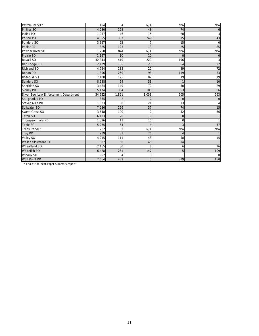| Petroleum SO*                         | 494    | 4     | N/A            | N/A            | N/A            |
|---------------------------------------|--------|-------|----------------|----------------|----------------|
| Phillips SO                           | 4,280  | 128   | 48             | 74             | 6              |
| Plains PD                             | 1,057  | 46    | 15             | 28             | 3              |
| Polson PD                             | 4,555  | 307   | 249            | 15             | 43             |
| Pondera SO                            | 3,667  | 22    | $\overline{7}$ | 15             | $\mathbf 0$    |
| Poplar PD                             | 825    | 123   | 13             | 25             | 85             |
| Powder River SO                       | 1,750  | N/A   | N/A            | N/A            | N/A            |
| Prairie SO                            | 1,167  | 10    | 10             | $\Omega$       | $\overline{0}$ |
| Ravalli SO                            | 32,844 | 419   | 220            | 196            | 3              |
| Red Lodge PD                          | 2,129  | 106   | 20             | 64             | 22             |
| Richland SO                           | 4,724  | 133   | 22             | 39             | 72             |
| Ronan PD                              | 1,896  | 250   | 98             | 119            | 33             |
| Rosebud SO                            | 7,180  | 125   | 87             | 19             | 19             |
| Sanders SO                            | 8,588  | 64    | 53             | $\mathbf{1}$   | 10             |
| Sheridan SO                           | 3,484  | 149   | 70             | 50             | 29             |
| <b>Sidney PD</b>                      | 5,474  | 334   | 185            | 63             | 86             |
| Silver Bow Law Enforcement Department | 34,622 | 1,821 | 1,053          | 505            | 263            |
| St. Ignatius PD                       | 855    |       | $\overline{2}$ | $\Omega$       | $\mathbf 0$    |
| Stevensville PD                       | 1,833  | 38    | 21             | 13             | 4              |
| Stillwater SO                         | 7,286  | 126   | 37             | 74             | 15             |
| Sweet Grass SO                        | 3,648  | 100   | $\overline{2}$ | 42             | 56             |
| <b>Teton SO</b>                       | 6,133  | 20    | 19             | $\overline{0}$ | $\mathbf{1}$   |
| Thompson Falls PD                     | 1,326  | 11    | 10             | 0              | $\mathbf{1}$   |
| Toole SO                              | 5,275  | 64    | $\overline{4}$ | 3              | 57             |
| Treasure SO <sup>*</sup>              | 732    | 3     | N/A            | N/A            | N/A            |
| <b>Troy PD</b>                        | 939    | 31    | 26             |                | $\mathbf{1}$   |
| Valley SO                             | 4,215  | 111   | 48             | 48             | 15             |
| West Yellowstone PD                   | 1,307  | 60    | 45             | 14             | $\mathbf{1}$   |
| <b>Wheatland SO</b>                   | 2,155  | 30    | 8              | 6              | 16             |
| <b>Whitefish PD</b>                   | 6,428  | 261   | 147            | 5              | 109            |
| Wibaux SO                             | 992    |       | 3              |                | $\mathbf 0$    |
| Wolf Point PD                         | 2,664  | 489   | $\overline{0}$ | 339            | 150            |
|                                       |        |       |                |                |                |

\* End-of-the-Year Paper Summary report.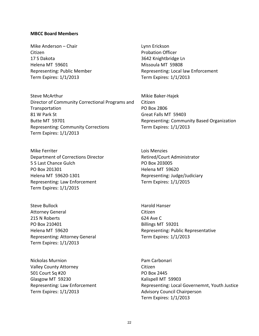#### **MBCC Board Members**

Mike Anderson – Chair Lynn Erickson Citizen **Contract Citizen** Probation Officer 17 S Dakota 3642 Knightbridge Ln Helena MT 59601 Missoula MT 59808 Term Expires: 1/1/2013 Term Expires: 1/1/2013

Steve McArthur Mikie Baker-Hajek Director of Community Correctional Programs and **Transportation** 81 W Park St Great Falls MT 59403 Butte MT 59701 Representing: Community Based Organization Representing: Community Corrections Term Expires: 1/1/2013 Term Expires: 1/1/2013

Mike Ferriter Loop and Contract the Lois Menzies Lois Menzies Department of Corrections Director Retired/Court Administrator 5 S Last Chance Gulch **PO Box 203005** PO Box 201301 **Helena MT** 59620 Helena MT 59620-1301 Representing: Judge/Judiciary Representing: Law Enforcement Term Expires: 1/1/2015

Steve Bullock **Harold Hanser** Attorney General **Citizen** 215 N Roberts 624 Ave C PO Box 210401 Billings MT 59201 Representing: Attorney General Term Expires: 1/1/2013

Nickolas Murnion **Pam Carbonari** Valley County Attorney Citizen 501 Court Sq #20 PO Box 2445 Glasgow MT 59230 Kalispell MT 59903 Representing: Law Enforcement Term Expires: 1/1/2013

Representing: Public Member Representing: Local law Enforcement

Citizen PO Box 2806

Term Expires: 1/1/2015

Helena MT 59620 **Representing: Public Representative** Term Expires: 1/1/2013

> Representing: Local Governemnt, Youth Justice Advisory Council Chairperson Term Expires: 1/1/2013